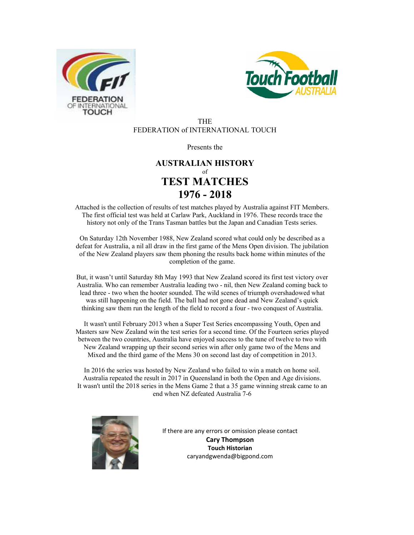



#### THE FEDERATION of INTERNATIONAL TOUCH

Presents the

### **AUSTRALIAN HISTORY** of **TEST MATCHES 1976 - 2018**

Attached is the collection of results of test matches played by Australia against FIT Members. The first official test was held at Carlaw Park, Auckland in 1976. These records trace the history not only of the Trans Tasman battles but the Japan and Canadian Tests series.

On Saturday 12th November 1988, New Zealand scored what could only be described as a defeat for Australia, a nil all draw in the first game of the Mens Open division. The jubilation of the New Zealand players saw them phoning the results back home within minutes of the completion of the game.

But, it wasn't until Saturday 8th May 1993 that New Zealand scored its first test victory over Australia. Who can remember Australia leading two - nil, then New Zealand coming back to lead three - two when the hooter sounded. The wild scenes of triumph overshadowed what was still happening on the field. The ball had not gone dead and New Zealand's quick thinking saw them run the length of the field to record a four - two conquest of Australia.

It wasn't until February 2013 when a Super Test Series encompassing Youth, Open and Masters saw New Zealand win the test series for a second time. Of the Fourteen series played between the two countries, Australia have enjoyed success to the tune of twelve to two with New Zealand wrapping up their second series win after only game two of the Mens and Mixed and the third game of the Mens 30 on second last day of competition in 2013.

In 2016 the series was hosted by New Zealand who failed to win a match on home soil. Australia repeated the result in 2017 in Queensland in both the Open and Age divisions. It wasn't until the 2018 series in the Mens Game 2 that a 35 game winning streak came to an end when NZ defeated Australia 7-6



If there are any errors or omission please contact **Cary Thompson Touch Historian**  caryandgwenda@bigpond.com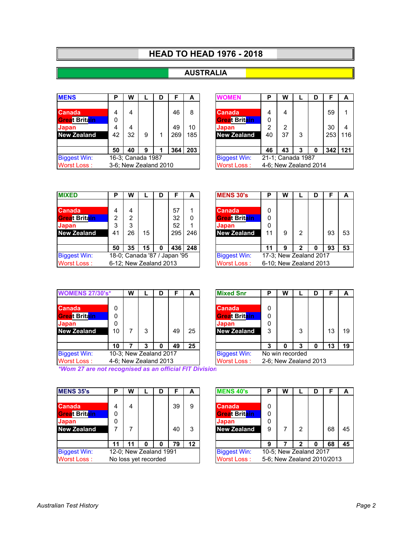### **HEAD TO HEAD 1976 - 2018**

### **AUSTRALIA**

| <b>MENS</b>          | P  | W                     |   | D |     | А   | <b>NOMEN</b>         | P  | w                     |   | D |         | A   |
|----------------------|----|-----------------------|---|---|-----|-----|----------------------|----|-----------------------|---|---|---------|-----|
|                      |    |                       |   |   |     |     |                      |    |                       |   |   |         |     |
| <b>Canada</b>        | 4  | 4                     |   |   | 46  | 8   | Canada               | 4  | 4                     |   |   | 59      |     |
| <b>Great Britain</b> |    |                       |   |   |     |     | <b>Great Britain</b> | 0  |                       |   |   |         |     |
| <b>Japan</b>         | 4  | 4                     |   |   | 49  | 10  | Japan                | 2  | 2                     |   |   | 30      |     |
| <b>New Zealand</b>   | 42 | 32                    | 9 | 4 | 269 | 185 | <b>New Zealand</b>   | 40 | 37                    | 3 |   | 253     | 116 |
|                      |    |                       |   |   |     |     |                      |    |                       |   |   |         |     |
|                      | 50 | 40                    | 9 |   | 364 | 203 |                      | 46 | 43                    | 3 | 0 | 342 121 |     |
| <b>Biggest Win:</b>  |    | 16-3; Canada 1987     |   |   |     |     | <b>Biggest Win:</b>  |    | 21-1; Canada 1987     |   |   |         |     |
| Worst Loss:          |    | 3-6; New Zealand 2010 |   |   |     |     | <b>Worst Loss:</b>   |    | 4-6; New Zealand 2014 |   |   |         |     |

| P               | W                    |                  | D | F                  | A   | VOMFN                 | Р  | W                 |   | F   | А   |
|-----------------|----------------------|------------------|---|--------------------|-----|-----------------------|----|-------------------|---|-----|-----|
|                 |                      |                  |   |                    |     |                       |    |                   |   |     |     |
| $\overline{4}$  | 4                    |                  |   | 46                 | 8   | <b>Canada</b>         | 4  | 4                 |   | 59  |     |
| $\Omega$        |                      |                  |   |                    |     | <b>Great Britain</b>  | 0  |                   |   |     |     |
| $\overline{4}$  | 4                    |                  |   | 49                 | 10  | <b>Japan</b>          | 2  | 2                 |   | 30  |     |
| 42              | 32                   | 9                |   | 269                | 185 | <b>New Zealand</b>    | 40 | 37                | 3 | 253 | 116 |
|                 |                      |                  |   |                    |     |                       |    |                   |   |     |     |
| $\overline{50}$ | 40                   | 9                |   | 364                | 203 |                       | 46 | 43                | 3 | 342 | 121 |
|                 |                      | 6-3; Canada 1987 |   |                    |     | <b>Biggest Win:</b>   |    | 21-1; Canada 1987 |   |     |     |
|                 | -6; New Zealand 2010 |                  |   | <b>Worst Loss:</b> |     | 4-6; New Zealand 2014 |    |                   |   |     |     |

| <b>MIXED</b>         | P  | w  |                        | D | F                            | A   | <b>MENS 30's</b>     | Ð  | W                      |   | D |    | A  |
|----------------------|----|----|------------------------|---|------------------------------|-----|----------------------|----|------------------------|---|---|----|----|
|                      |    |    |                        |   |                              |     |                      |    |                        |   |   |    |    |
| <b>Canada</b>        |    | 4  |                        |   | 57                           | 1   | <b>Canada</b>        |    |                        |   |   |    |    |
| <b>Great Britain</b> | っ  | 2  |                        |   | 32                           | 0   | <b>Great Britain</b> | 0  |                        |   |   |    |    |
| <b>Japan</b>         | 3  | 3  |                        |   | 52                           | 1   | Japan                | 0  |                        |   |   |    |    |
| <b>New Zealand</b>   | 41 | 26 | 15                     |   | 295                          | 246 | <b>New Zealand</b>   | 11 | 9                      | 2 |   | 93 | 53 |
|                      |    |    |                        |   |                              |     |                      |    |                        |   |   |    |    |
|                      | 50 | 35 | 15                     | 0 | 436                          | 248 |                      | 11 | 9                      | 2 |   | 93 | 53 |
| <b>Biggest Win:</b>  |    |    |                        |   | 18-0; Canada '87 / Japan '95 |     | <b>Biggest Win:</b>  |    | 17-3; New Zealand 2017 |   |   |    |    |
| Worst Loss:          |    |    | 6-12; New Zealand 2013 |   |                              |     | Worst Loss:          |    | 6-10; New Zealand 2013 |   |   |    |    |

| P              | W  |                       | D | F                           | А   | <b>MENS 30's</b>     | Р  | w                      |   | F  |    |
|----------------|----|-----------------------|---|-----------------------------|-----|----------------------|----|------------------------|---|----|----|
|                |    |                       |   |                             |     |                      |    |                        |   |    |    |
| $\overline{4}$ |    |                       |   | 57                          |     | <b>Canada</b>        | 0  |                        |   |    |    |
| 2              | 2  |                       |   | 32                          | 0   | <b>Great Britain</b> | 0  |                        |   |    |    |
| 3              | 3  |                       |   | 52                          |     | Japan                | 0  |                        |   |    |    |
| 41             | 26 | 15                    |   | 295                         | 246 | <b>New Zealand</b>   | 11 | 9                      | 2 | 93 | 53 |
|                |    |                       |   |                             |     |                      |    |                        |   |    |    |
| 50             | 35 | 15                    | 0 | 4361                        | 248 |                      | 11 | 9                      | 2 | 93 | 53 |
|                |    |                       |   | 8-0; Canada '87 / Japan '95 |     | <b>Biggest Win:</b>  |    | 17-3; New Zealand 2017 |   |    |    |
|                |    | -12: New Zealand 2013 |   |                             |     | <b>Worst Loss:</b>   |    | 6-10: New Zealand 2013 |   |    |    |

| <b>WOMENS 27/30's*</b> |    | w                     |                        | D |    | A                  | <b>Mixed Snr</b>      | P | W               |   | D |    | A  |
|------------------------|----|-----------------------|------------------------|---|----|--------------------|-----------------------|---|-----------------|---|---|----|----|
|                        |    |                       |                        |   |    |                    |                       |   |                 |   |   |    |    |
| <b>Canada</b>          |    |                       |                        |   |    |                    | <b>Canada</b>         | 0 |                 |   |   |    |    |
| <b>Great Britain</b>   |    |                       |                        |   |    |                    | <b>Great Britain</b>  | 0 |                 |   |   |    |    |
| <b>Japan</b>           | 0  |                       |                        |   |    |                    | Japan                 | 0 |                 |   |   |    |    |
| <b>New Zealand</b>     | 10 |                       | 3                      |   | 49 | 25                 | <b>New Zealand</b>    | 3 |                 | 3 |   | 13 | 19 |
|                        |    |                       |                        |   |    |                    |                       |   |                 |   |   |    |    |
|                        | 10 |                       | 3                      | 0 | 49 | 25                 |                       | 3 | o               | 3 | O | 13 | 19 |
| <b>Biggest Win:</b>    |    |                       | 10-3; New Zealand 2017 |   |    |                    | <b>Biggest Win:</b>   |   | No win recorded |   |   |    |    |
| Worst Loss:            |    | 4-6; New Zealand 2013 |                        |   |    | <b>Worst Loss:</b> | 2-6; New Zealand 2013 |   |                 |   |   |    |    |
|                        |    |                       |                        |   |    |                    |                       |   |                 |   |   |    |    |

|                                        | W |                       | D | c  | Α  | <b>Mixed Snr</b>                                                     | Р      | W                     |   | D | c  | А  |
|----------------------------------------|---|-----------------------|---|----|----|----------------------------------------------------------------------|--------|-----------------------|---|---|----|----|
| $\Omega$<br>$\Omega$<br>$\Omega$<br>10 |   | 3                     |   | 49 | 25 | <b>Canada</b><br><b>Great Britain</b><br>Japan<br><b>New Zealand</b> | 0<br>3 |                       | 3 |   | 13 | 19 |
| 10                                     |   | 3                     |   | 49 | 25 |                                                                      | 3      |                       | 3 | 0 | 13 | 19 |
|                                        |   | 0-3; New Zealand 2017 |   |    |    | <b>Biggest Win:</b>                                                  |        | No win recorded       |   |   |    |    |
|                                        |   | -6; New Zealand 2013  |   |    |    | Worst Loss:                                                          |        | 2-6; New Zealand 2013 |   |   |    |    |

*\*Wom 27 are not recognised as an official FIT Division*

| <b>MENS 35's</b>     | Р | W                    |                        | D | F  | A  |  | <b>MENS 40's</b>     | Ð | W                          |   | D |    | A  |
|----------------------|---|----------------------|------------------------|---|----|----|--|----------------------|---|----------------------------|---|---|----|----|
|                      |   |                      |                        |   |    |    |  |                      |   |                            |   |   |    |    |
| <b>Canada</b>        |   | 4                    |                        |   | 39 | 9  |  | Canada               |   |                            |   |   |    |    |
| <b>Great Britain</b> |   |                      |                        |   |    |    |  | <b>Great Britain</b> | 0 |                            |   |   |    |    |
| Japan                | 0 |                      |                        |   |    |    |  | Japan                | 0 |                            |   |   |    |    |
| <b>New Zealand</b>   |   |                      |                        |   | 40 | 3  |  | <b>New Zealand</b>   | 9 |                            | 2 |   | 68 | 45 |
|                      |   |                      |                        |   |    |    |  |                      |   |                            |   |   |    |    |
|                      |   |                      |                        | 0 | 79 | 12 |  |                      | 9 |                            | っ | O | 68 | 45 |
| <b>Biggest Win:</b>  |   |                      | 12-0; New Zealand 1991 |   |    |    |  | <b>Biggest Win:</b>  |   | 10-5; New Zealand 2017     |   |   |    |    |
| Worst Loss:          |   | No loss yet recorded |                        |   |    |    |  | <b>Worst Loss:</b>   |   | 5-6; New Zealand 2010/2013 |   |   |    |    |

| P              | W |                       | D |    | А  | <b>MENS 40's</b>    | Р | W                          |   | D |    | А  |
|----------------|---|-----------------------|---|----|----|---------------------|---|----------------------------|---|---|----|----|
|                |   |                       |   |    |    |                     |   |                            |   |   |    |    |
| $\overline{4}$ |   |                       |   | 39 | 9  | <b>Canada</b>       | 0 |                            |   |   |    |    |
| $\Omega$       |   |                       |   |    |    | Great Britain       | 0 |                            |   |   |    |    |
| $\Omega$       |   |                       |   |    |    | Japan               | 0 |                            |   |   |    |    |
|                |   |                       |   | 40 | 3  | <b>New Zealand</b>  | 9 |                            | 2 |   | 68 | 45 |
|                |   |                       |   |    |    |                     |   |                            |   |   |    |    |
| 11             |   | Ω                     | ŋ | 79 | 12 |                     | 9 |                            | 2 |   | 68 | 45 |
|                |   | 2-0; New Zealand 1991 |   |    |    | <b>Biggest Win:</b> |   | 10-5; New Zealand 2017     |   |   |    |    |
|                |   | lo loss yet recorded  |   |    |    | <b>Worst Loss:</b>  |   | 5-6; New Zealand 2010/2013 |   |   |    |    |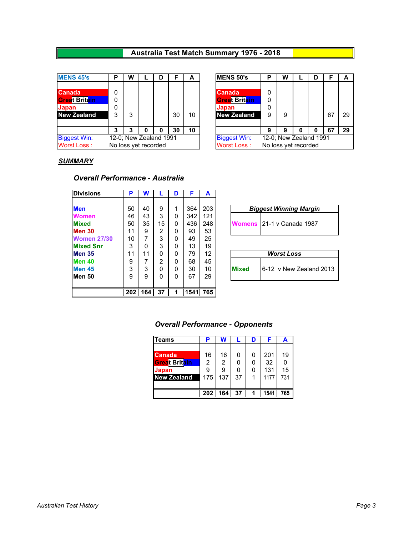### **Australia Test Match Summary 1976 - 2018**

| <b>MENS 45's</b>     | D | W                    |                        | D |    | A  |  | <b>MENS 50's</b>     | P | W                      |   | D |    | A  |
|----------------------|---|----------------------|------------------------|---|----|----|--|----------------------|---|------------------------|---|---|----|----|
|                      |   |                      |                        |   |    |    |  |                      |   |                        |   |   |    |    |
| Canada               |   |                      |                        |   |    |    |  | Canada               | 0 |                        |   |   |    |    |
| <b>Great Britain</b> | 0 |                      |                        |   |    |    |  | <b>Great Britain</b> | 0 |                        |   |   |    |    |
| Japan                | 0 |                      |                        |   |    |    |  | Japan                | 0 |                        |   |   |    |    |
| <b>New Zealand</b>   |   | 3                    |                        |   | 30 | 10 |  | <b>New Zealand</b>   | 9 | 9                      |   |   | 67 | 29 |
|                      |   |                      |                        |   |    |    |  |                      |   |                        |   |   |    |    |
|                      |   | っ                    |                        |   | 30 | 10 |  |                      | 9 | 9                      | 0 |   | 67 | 29 |
| <b>Biggest Win:</b>  |   |                      | 12-0; New Zealand 1991 |   |    |    |  | <b>Biggest Win:</b>  |   | 12-0; New Zealand 1991 |   |   |    |    |
| Worst Loss:          |   | No loss vet recorded |                        |   |    |    |  | <b>Worst Loss:</b>   |   | No loss yet recorded   |   |   |    |    |

| D | w |                       | D |    | А  | <b>MENS 50's</b>    | Р | W                      |   |    |    |
|---|---|-----------------------|---|----|----|---------------------|---|------------------------|---|----|----|
|   |   |                       |   |    |    |                     |   |                        |   |    |    |
| 0 |   |                       |   |    |    | <b>Canada</b>       |   |                        |   |    |    |
| 0 |   |                       |   |    |    | Great Britain       |   |                        |   |    |    |
| 0 |   |                       |   |    |    | Japan               | 0 |                        |   |    |    |
| 3 | 3 |                       |   | 30 | 10 | <b>New Zealand</b>  | 9 | 9                      |   | 67 | 29 |
|   |   |                       |   |    |    |                     |   |                        |   |    |    |
| 3 | 3 |                       | 0 | 30 | 10 |                     | 9 | g                      | 0 | 67 | 29 |
|   |   | 2-0; New Zealand 1991 |   |    |    | <b>Biggest Win:</b> |   | 12-0; New Zealand 1991 |   |    |    |
|   |   | o loss yet recorded   |   |    |    | Worst Loss:         |   | No loss yet recorded   |   |    |    |
|   |   |                       |   |    |    |                     |   |                        |   |    |    |

#### *SUMMARY*

#### *Overall Performance - Australia*

| <b>Divisions</b>   | Р   | W   |                | D | F    | A   |                                                  |
|--------------------|-----|-----|----------------|---|------|-----|--------------------------------------------------|
|                    |     |     |                |   |      |     |                                                  |
| <b>Men</b>         | 50  | 40  | 9              |   | 364  | 203 | <b>Biggest Winning Margin</b>                    |
| <b>Women</b>       | 46  | 43  | 3              | 0 | 342  | 121 |                                                  |
| <b>Mixed</b>       | 50  | 35  | 15             | 0 | 436  | 248 | 121-1 v Canada 1987<br><b>Womens</b>             |
| <b>Men 30</b>      | 11  | 9   | 2              | 0 | 93   | 53  |                                                  |
| <b>Women 27/30</b> | 10  |     | 3              | 0 | 49   | 25  |                                                  |
| <b>Mixed Snr</b>   | 3   | 0   | 3              | O | 13   | 19  |                                                  |
| <b>Men 35</b>      | 11  | 11  | 0              | 0 | 79   | 12  | <b>Worst Loss</b>                                |
| Men <sub>40</sub>  | 9   |     | $\overline{2}$ | 0 | 68   | 45  |                                                  |
| <b>Men 45</b>      | 3   | 3   | 0              | 0 | 30   | 10  | <b>Mixed</b><br><b>I</b> 6-12 v New Zealand 2013 |
| <b>Men 50</b>      | 9   | 9   | 0              | 0 | 67   | 29  |                                                  |
|                    |     |     |                |   |      |     |                                                  |
|                    | 202 | 164 | 37             |   | 1541 | 765 |                                                  |

| <b>Biggest Winning Margin</b> |                           |  |  |  |  |  |  |  |  |
|-------------------------------|---------------------------|--|--|--|--|--|--|--|--|
|                               | Womens 21-1 v Canada 1987 |  |  |  |  |  |  |  |  |

| <b>Worst Loss</b> |                         |  |  |  |  |
|-------------------|-------------------------|--|--|--|--|
| <b>Mixed</b>      | 6-12 v New Zealand 2013 |  |  |  |  |

#### *Overall Performance - Opponents*

| Teams                | P              | W   |    | D | F    | А   |
|----------------------|----------------|-----|----|---|------|-----|
|                      |                |     |    |   |      |     |
| <b>Canada</b>        | 16             | 16  | 0  | 0 | 201  | 19  |
| <b>Great Britain</b> | $\overline{2}$ | 2   |    |   | 32   | 0   |
| <b>Japan</b>         | 9              | 9   | 0  | 0 | 131  | 15  |
| <b>New Zealand</b>   | 175            | 137 | 37 | 1 | 1177 | 731 |
|                      |                |     |    |   |      |     |
|                      | 202            | 164 | 37 |   | 1541 | 765 |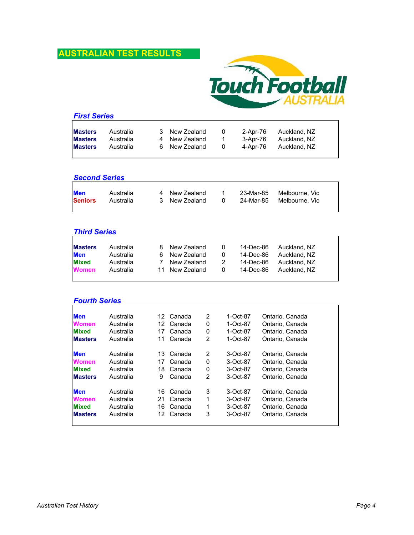

|                | <b>First Series</b> |  |               |          |          |              |  |
|----------------|---------------------|--|---------------|----------|----------|--------------|--|
| <b>Masters</b> | Australia           |  | 3 New Zealand | $\Omega$ | 2-Apr-76 | Auckland, NZ |  |
| <b>Masters</b> | Australia           |  | 4 New Zealand | 1.       | 3-Apr-76 | Auckland, NZ |  |
| <b>Masters</b> | Australia           |  | 6 New Zealand | $\Omega$ | 4-Apr-76 | Auckland, NZ |  |

#### *Second Series*

| <b>Men</b>     | Australia | 4 New Zealand |  | 23-Mar-85  Melbourne. Vic |
|----------------|-----------|---------------|--|---------------------------|
| <b>Seniors</b> | Australia | 3 New Zealand |  | 24-Mar-85  Melbourne. Vic |
|                |           |               |  |                           |

#### *Third Series*

| <b>Masters</b> | Australia | 8 New Zealand  | 0        | 14-Dec-86 | Auckland. NZ |
|----------------|-----------|----------------|----------|-----------|--------------|
| <b>Men</b>     | Australia | 6 New Zealand  | $\Omega$ | 14-Dec-86 | Auckland. NZ |
| <b>Mixed</b>   | Australia | New Zealand    | 2        | 14-Dec-86 | Auckland. NZ |
| <b>Women</b>   | Australia | 11 New Zealand | 0        | 14-Dec-86 | Auckland, NZ |
|                |           |                |          |           |              |

# *Fourth Series*

| <b>Men</b>     | Australia | 12 | Canada | 2              | 1-Oct-87 | Ontario, Canada |
|----------------|-----------|----|--------|----------------|----------|-----------------|
| <b>Women</b>   | Australia | 12 | Canada | 0              | 1-Oct-87 | Ontario, Canada |
| <b>Mixed</b>   | Australia | 17 | Canada | 0              | 1-Oct-87 | Ontario, Canada |
| <b>Masters</b> | Australia | 11 | Canada | $\overline{2}$ | 1-Oct-87 | Ontario, Canada |
| <b>Men</b>     | Australia | 13 | Canada | 2              | 3-Oct-87 | Ontario, Canada |
|                |           |    |        |                |          |                 |
| <b>Women</b>   | Australia | 17 | Canada | 0              | 3-Oct-87 | Ontario, Canada |
| <b>Mixed</b>   | Australia | 18 | Canada | 0              | 3-Oct-87 | Ontario, Canada |
| <b>Masters</b> | Australia | 9  | Canada | 2              | 3-Oct-87 | Ontario, Canada |
| <b>Men</b>     | Australia | 16 | Canada | 3              | 3-Oct-87 | Ontario, Canada |
| <b>Women</b>   | Australia | 21 | Canada | 1              | 3-Oct-87 | Ontario, Canada |
| <b>Mixed</b>   | Australia | 16 | Canada | 1              | 3-Oct-87 | Ontario, Canada |
| <b>Masters</b> | Australia | 12 | Canada | 3              | 3-Oct-87 | Ontario, Canada |
|                |           |    |        |                |          |                 |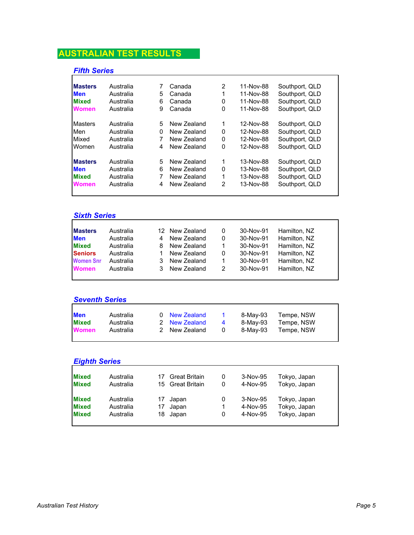### *Fifth Series*

| <b>Masters</b> | Australia |   | Canada      | 2        | 11-Nov-88 | Southport, QLD |
|----------------|-----------|---|-------------|----------|-----------|----------------|
| <b>Men</b>     | Australia | 5 | Canada      | 1        | 11-Nov-88 | Southport, QLD |
| <b>Mixed</b>   | Australia | 6 | Canada      | 0        | 11-Nov-88 | Southport, QLD |
| <b>Women</b>   | Australia | 9 | Canada      | 0        | 11-Nov-88 | Southport, QLD |
| <b>Masters</b> | Australia | 5 | New Zealand | 1        | 12-Nov-88 | Southport, QLD |
| Men            | Australia | 0 | New Zealand | 0        | 12-Nov-88 | Southport, QLD |
| Mixed          | Australia | 7 | New Zealand | $\Omega$ | 12-Nov-88 | Southport, QLD |
| Women          | Australia | 4 | New Zealand | 0        | 12-Nov-88 | Southport, QLD |
| <b>Masters</b> | Australia | 5 | New Zealand | 1        | 13-Nov-88 | Southport, QLD |
| <b>Men</b>     | Australia | 6 | New Zealand | 0        | 13-Nov-88 | Southport, QLD |
| <b>Mixed</b>   | Australia | 7 | New Zealand | 1        | 13-Nov-88 | Southport, QLD |
| <b>Women</b>   | Australia | 4 | New Zealand | 2        | 13-Nov-88 | Southport, QLD |
|                |           |   |             |          |           |                |

# *Sixth Series*

| <b>Masters</b>   | Australia | 12 New Zealand | 0 | 30-Nov-91 | Hamilton, NZ |
|------------------|-----------|----------------|---|-----------|--------------|
| <b>Men</b>       | Australia | New Zealand    | 0 | 30-Nov-91 | Hamilton, NZ |
| <b>Mixed</b>     | Australia | New Zealand    |   | 30-Nov-91 | Hamilton, NZ |
| <b>Seniors</b>   | Australia | New Zealand    | 0 | 30-Nov-91 | Hamilton, NZ |
| <b>Women Snr</b> | Australia | New Zealand    |   | 30-Nov-91 | Hamilton, NZ |
| <b>Women</b>     | Australia | New Zealand    | 2 | 30-Nov-91 | Hamilton, NZ |
|                  |           |                |   |           |              |

### *Seventh Series*

| <b>Men</b>   | Australia | 0 New Zealand |    | 8-Mav-93 | Tempe, NSW |
|--------------|-----------|---------------|----|----------|------------|
| <b>Mixed</b> | Australia | 2 New Zealand | -4 | 8-May-93 | Tempe, NSW |
| <b>Women</b> | Australia | 2 New Zealand |    | 8-Mav-93 | Tempe, NSW |
|              |           |               |    |          |            |

| Australia |                      | <b>Great Britain</b> | 0                | 3-Nov-95 |              |              |
|-----------|----------------------|----------------------|------------------|----------|--------------|--------------|
| Australia |                      |                      | 0                | 4-Nov-95 | Tokyo, Japan |              |
| Australia | 17                   | Japan                | 0                | 3-Nov-95 | Tokyo, Japan |              |
| Australia | 17                   | Japan                |                  | 4-Nov-95 | Tokyo, Japan |              |
| Australia | 18                   | Japan                | 0                | 4-Nov-95 | Tokyo, Japan |              |
|           | <b>Eighth Series</b> |                      | 15 Great Britain |          |              | Tokyo, Japan |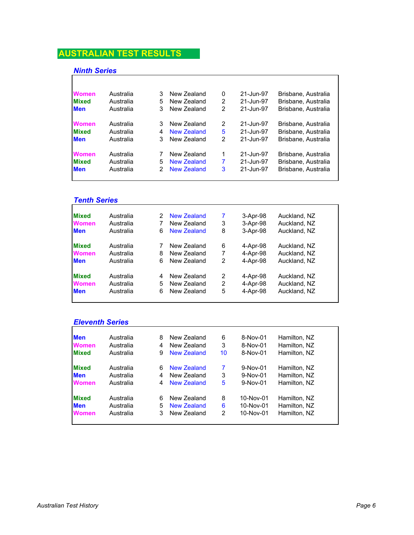# *Ninth Series*

| Australia | 3 | New Zealand        | 0              | 21-Jun-97 | Brisbane, Australia |
|-----------|---|--------------------|----------------|-----------|---------------------|
| Australia | 5 | New Zealand        | 2              | 21-Jun-97 | Brisbane, Australia |
| Australia | 3 | New Zealand        | 2              | 21-Jun-97 | Brisbane, Australia |
| Australia | 3 | New Zealand        | 2              | 21-Jun-97 | Brisbane, Australia |
| Australia | 4 | New Zealand        | 5              | 21-Jun-97 | Brisbane, Australia |
| Australia | 3 | New Zealand        | 2              | 21-Jun-97 | Brisbane, Australia |
| Australia |   | New Zealand        | 1              | 21-Jun-97 | Brisbane, Australia |
| Australia | 5 | New Zealand        | $\overline{7}$ | 21-Jun-97 | Brisbane, Australia |
| Australia | 2 | <b>New Zealand</b> | 3              | 21-Jun-97 | Brisbane, Australia |
|           |   |                    |                |           |                     |

#### *Tenth Series*

| Australia | 2 | New Zealand | 7 | 3-Apr-98 | Auckland, NZ |
|-----------|---|-------------|---|----------|--------------|
| Australia |   | New Zealand | 3 | 3-Apr-98 | Auckland, NZ |
| Australia | 6 | New Zealand | 8 | 3-Apr-98 | Auckland, NZ |
| Australia |   | New Zealand | 6 | 4-Apr-98 | Auckland, NZ |
| Australia | 8 | New Zealand | 7 | 4-Apr-98 | Auckland, NZ |
| Australia | 6 | New Zealand | 2 | 4-Apr-98 | Auckland, NZ |
| Australia | 4 | New Zealand | 2 | 4-Apr-98 | Auckland, NZ |
| Australia | 5 | New Zealand | 2 | 4-Apr-98 | Auckland, NZ |
| Australia | 6 | New Zealand | 5 | 4-Apr-98 | Auckland, NZ |
|           |   |             |   |          |              |

#### *Eleventh Series*

| <b>Men</b>   | Australia | 8 | New Zealand | 6  | 8-Nov-01   | Hamilton, NZ |
|--------------|-----------|---|-------------|----|------------|--------------|
| <b>Women</b> | Australia | 4 | New Zealand | 3  | 8-Nov-01   | Hamilton, NZ |
| <b>Mixed</b> | Australia | 9 | New Zealand | 10 | 8-Nov-01   | Hamilton, NZ |
| <b>Mixed</b> | Australia | 6 | New Zealand |    | 9-Nov-01   | Hamilton, NZ |
| <b>Men</b>   | Australia | 4 | New Zealand | 3  | 9-Nov-01   | Hamilton, NZ |
| <b>Women</b> | Australia | 4 | New Zealand | 5  | $9-Nov-01$ | Hamilton, NZ |
| <b>Mixed</b> | Australia | 6 | New Zealand | 8  | 10-Nov-01  | Hamilton, NZ |
| <b>Men</b>   | Australia | 5 | New Zealand | 6  | 10-Nov-01  | Hamilton, NZ |
| <b>Women</b> | Australia | 3 | New Zealand | 2  | 10-Nov-01  | Hamilton, NZ |
|              |           |   |             |    |            |              |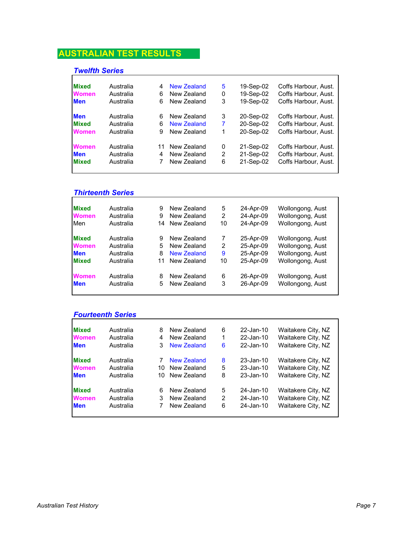# *Twelfth Series*

| <b>Mixed</b>                               | Australia                           | 4       | <b>New Zealand</b>                        | 5           | 19-Sep-02                           | Coffs Harbour, Aust.                                                 |
|--------------------------------------------|-------------------------------------|---------|-------------------------------------------|-------------|-------------------------------------|----------------------------------------------------------------------|
| <b>Women</b>                               | Australia                           | 6       | New Zealand                               | 0           | 19-Sep-02                           | Coffs Harbour, Aust.                                                 |
| <b>Men</b>                                 | Australia                           | 6       | New Zealand                               | 3           | 19-Sep-02                           | Coffs Harbour. Aust.                                                 |
| <b>Men</b>                                 | Australia                           | 6       | New Zealand                               | 3           | 20-Sep-02                           | Coffs Harbour, Aust.                                                 |
| <b>Mixed</b>                               | Australia                           | 6       | New Zealand                               | 7           | 20-Sep-02                           | Coffs Harbour, Aust.                                                 |
| <b>Women</b>                               | Australia                           | 9       | New Zealand                               | 1           | 20-Sep-02                           | Coffs Harbour, Aust.                                                 |
| <b>Women</b><br><b>Men</b><br><b>Mixed</b> | Australia<br>Australia<br>Australia | 11<br>4 | New Zealand<br>New Zealand<br>New Zealand | 0<br>2<br>6 | 21-Sep-02<br>21-Sep-02<br>21-Sep-02 | Coffs Harbour, Aust.<br>Coffs Harbour, Aust.<br>Coffs Harbour. Aust. |

# *Thirteenth Series*

| <b>Mixed</b> | Australia | 9  | New Zealand | 5  | 24-Apr-09 | Wollongong, Aust |
|--------------|-----------|----|-------------|----|-----------|------------------|
| <b>Women</b> | Australia | 9  | New Zealand | 2  | 24-Apr-09 | Wollongong, Aust |
| Men          | Australia | 14 | New Zealand | 10 | 24-Apr-09 | Wollongong, Aust |
| <b>Mixed</b> | Australia | 9  | New Zealand |    | 25-Apr-09 | Wollongong, Aust |
| <b>Women</b> | Australia | 5  | New Zealand | 2  | 25-Apr-09 | Wollongong, Aust |
| <b>Men</b>   | Australia | 8  | New Zealand | 9  | 25-Apr-09 | Wollongong, Aust |
| <b>Mixed</b> | Australia | 11 | New Zealand | 10 | 25-Apr-09 | Wollongong, Aust |
| <b>Women</b> | Australia | 8  | New Zealand | 6  | 26-Apr-09 | Wollongong, Aust |
| <b>Men</b>   | Australia | 5  | New Zealand | 3  | 26-Apr-09 | Wollongong, Aust |
|              |           |    |             |    |           |                  |

# *Fourteenth Series*

| <b>Mixed</b> | Australia | 8  | New Zealand | 6 | 22-Jan-10 | Waitakere City, NZ |
|--------------|-----------|----|-------------|---|-----------|--------------------|
| <b>Women</b> | Australia | 4  | New Zealand | 1 | 22-Jan-10 | Waitakere City, NZ |
| <b>Men</b>   | Australia | 3  | New Zealand | 6 | 22-Jan-10 | Waitakere City, NZ |
| <b>Mixed</b> | Australia | 7  | New Zealand | 8 | 23-Jan-10 | Waitakere City, NZ |
| <b>Women</b> | Australia | 10 | New Zealand | 5 | 23-Jan-10 | Waitakere City, NZ |
| <b>Men</b>   | Australia | 10 | New Zealand | 8 | 23-Jan-10 | Waitakere City, NZ |
| <b>Mixed</b> | Australia | 6  | New Zealand | 5 | 24-Jan-10 | Waitakere City, NZ |
| <b>Women</b> | Australia | 3  | New Zealand | 2 | 24-Jan-10 | Waitakere City, NZ |
| <b>Men</b>   | Australia | 7  | New Zealand | 6 | 24-Jan-10 | Waitakere City, NZ |
|              |           |    |             |   |           |                    |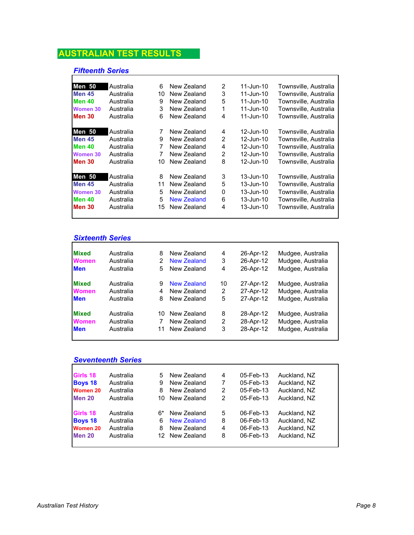## *Fifteenth Series*

| <b>Men 50</b>   | Australia | 6  | New Zealand | 2 | 11-Jun-10 | Townsville, Australia |
|-----------------|-----------|----|-------------|---|-----------|-----------------------|
| <b>Men 45</b>   | Australia | 10 | New Zealand | 3 | 11-Jun-10 | Townsville, Australia |
| <b>Men 40</b>   | Australia | 9  | New Zealand | 5 | 11-Jun-10 | Townsville, Australia |
| <b>Women 30</b> | Australia | 3  | New Zealand | 1 | 11-Jun-10 | Townsville, Australia |
| <b>Men 30</b>   | Australia | 6  | New Zealand | 4 | 11-Jun-10 | Townsville, Australia |
| <b>Men 50</b>   | Australia | 7  | New Zealand | 4 | 12-Jun-10 | Townsville, Australia |
| <b>Men 45</b>   | Australia | 9  | New Zealand | 2 | 12-Jun-10 | Townsville, Australia |
| <b>Men 40</b>   | Australia | 7  | New Zealand | 4 | 12-Jun-10 | Townsville, Australia |
| Women 30        | Australia | 7  | New Zealand | 2 | 12-Jun-10 | Townsville, Australia |
| Men 30          | Australia | 10 | New Zealand | 8 | 12-Jun-10 | Townsville, Australia |
| <b>Men 50</b>   | Australia | 8  | New Zealand | 3 | 13-Jun-10 | Townsville, Australia |
| <b>Men 45</b>   | Australia | 11 | New Zealand | 5 | 13-Jun-10 | Townsville, Australia |
| Women 30        | Australia | 5  | New Zealand | 0 | 13-Jun-10 | Townsville, Australia |
| <b>Men 40</b>   | Australia | 5  | New Zealand | 6 | 13-Jun-10 | Townsville, Australia |
| <b>Men 30</b>   | Australia | 15 | New Zealand | 4 | 13-Jun-10 | Townsville, Australia |
|                 |           |    |             |   |           |                       |

# *Sixteenth Series*

| <b>Mixed</b> | Australia | 8  | New Zealand | 4  | 26-Apr-12 | Mudgee, Australia |
|--------------|-----------|----|-------------|----|-----------|-------------------|
| <b>Women</b> | Australia | 2  | New Zealand | 3  | 26-Apr-12 | Mudgee, Australia |
| <b>Men</b>   | Australia | 5  | New Zealand | 4  | 26-Apr-12 | Mudgee, Australia |
| <b>Mixed</b> | Australia | 9  | New Zealand | 10 | 27-Apr-12 | Mudgee, Australia |
| <b>Women</b> | Australia | 4  | New Zealand | 2  | 27-Apr-12 | Mudgee, Australia |
| <b>Men</b>   | Australia | 8  | New Zealand | 5  | 27-Apr-12 | Mudgee, Australia |
| <b>Mixed</b> | Australia | 10 | New Zealand | 8  | 28-Apr-12 | Mudgee, Australia |
| <b>Women</b> | Australia |    | New Zealand | 2  | 28-Apr-12 | Mudgee, Australia |
| <b>Men</b>   | Australia | 11 | New Zealand | 3  | 28-Apr-12 | Mudgee, Australia |
|              |           |    |             |    |           |                   |

# *Seventeenth Series*

| Girls 18        | Australia | 5.  | New Zealand        | 4 | 05-Feb-13 | Auckland, NZ |
|-----------------|-----------|-----|--------------------|---|-----------|--------------|
| <b>Boys 18</b>  | Australia | 9   | New Zealand        | 7 | 05-Feb-13 | Auckland, NZ |
| <b>Women 20</b> | Australia | 8   | New Zealand        | 2 | 05-Feb-13 | Auckland, NZ |
| <b>Men 20</b>   | Australia | 10. | New Zealand        | 2 | 05-Feb-13 | Auckland, NZ |
| Girls 18        | Australia | 6*  | New Zealand        | 5 | 06-Feb-13 | Auckland, NZ |
| <b>Boys 18</b>  | Australia | 6   | <b>New Zealand</b> | 8 | 06-Feb-13 | Auckland, NZ |
| <b>Women 20</b> | Australia | 8   | New Zealand        | 4 | 06-Feb-13 | Auckland, NZ |
| <b>Men 20</b>   | Australia |     | 12 New Zealand     | 8 | 06-Feb-13 | Auckland, NZ |
|                 |           |     |                    |   |           |              |

Ē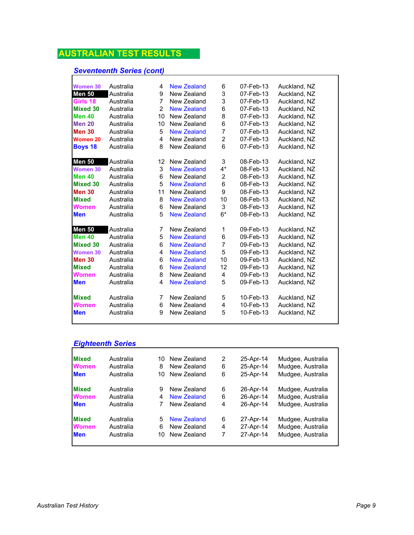# *Seventeenth Series (cont)*

| <b>Women 30</b> | Australia | 4              | <b>New Zealand</b> | 6              | 07-Feb-13 | Auckland, NZ |  |
|-----------------|-----------|----------------|--------------------|----------------|-----------|--------------|--|
| <b>Men 50</b>   | Australia | 9              | New Zealand        | 3              | 07-Feb-13 | Auckland, NZ |  |
| Girls 18        | Australia | $\overline{7}$ | New Zealand        | 3              | 07-Feb-13 | Auckland, NZ |  |
| <b>Mixed 30</b> | Australia | $\overline{2}$ | <b>New Zealand</b> | 6              | 07-Feb-13 | Auckland, NZ |  |
| <b>Men 40</b>   | Australia | 10             | New Zealand        | 8              | 07-Feb-13 | Auckland, NZ |  |
| <b>Men 20</b>   | Australia | 10             | New Zealand        | 6              | 07-Feb-13 | Auckland, NZ |  |
| <b>Men 30</b>   | Australia | 5              | <b>New Zealand</b> | $\overline{7}$ | 07-Feb-13 | Auckland, NZ |  |
| Women 20        | Australia | 4              | New Zealand        | $\overline{2}$ | 07-Feb-13 | Auckland, NZ |  |
| <b>Boys 18</b>  | Australia | 8              | New Zealand        | 6              | 07-Feb-13 | Auckland, NZ |  |
|                 |           |                |                    |                |           |              |  |
| <b>Men 50</b>   | Australia | 12             | New Zealand        | 3              | 08-Feb-13 | Auckland, NZ |  |
| <b>Women 30</b> | Australia | 3              | <b>New Zealand</b> | $4^*$          | 08-Feb-13 | Auckland, NZ |  |
| <b>Men 40</b>   | Australia | 6              | New Zealand        | 2              | 08-Feb-13 | Auckland, NZ |  |
| <b>Mixed 30</b> | Australia | 5              | <b>New Zealand</b> | 6              | 08-Feb-13 | Auckland, NZ |  |
| <b>Men 30</b>   | Australia | 11             | New Zealand        | 9              | 08-Feb-13 | Auckland, NZ |  |
| <b>Mixed</b>    | Australia | 8              | <b>New Zealand</b> | 10             | 08-Feb-13 | Auckland, NZ |  |
| <b>Women</b>    | Australia | 6              | New Zealand        | 3              | 08-Feb-13 | Auckland, NZ |  |
| <b>Men</b>      | Australia | 5              | <b>New Zealand</b> | $6*$           | 08-Feb-13 | Auckland, NZ |  |
| <b>Men 50</b>   | Australia | 7              | New Zealand        | 1              | 09-Feb-13 | Auckland, NZ |  |
| <b>Men 40</b>   | Australia | 5              | <b>New Zealand</b> | 6              | 09-Feb-13 | Auckland, NZ |  |
| <b>Mixed 30</b> | Australia | 6              | <b>New Zealand</b> | $\overline{7}$ | 09-Feb-13 | Auckland, NZ |  |
| <b>Women 30</b> | Australia | 4              | <b>New Zealand</b> | 5              | 09-Feb-13 | Auckland, NZ |  |
| <b>Men 30</b>   | Australia | 6              | <b>New Zealand</b> | 10             | 09-Feb-13 | Auckland, NZ |  |
| <b>Mixed</b>    | Australia | 6              | <b>New Zealand</b> | 12             | 09-Feb-13 | Auckland, NZ |  |
| Women           | Australia | 8              | New Zealand        | 4              | 09-Feb-13 | Auckland, NZ |  |
| <b>Men</b>      | Australia | 4              | <b>New Zealand</b> | 5              | 09-Feb-13 | Auckland, NZ |  |
| <b>Mixed</b>    | Australia | 7              | New Zealand        | 5              | 10-Feb-13 | Auckland, NZ |  |
| Women           | Australia | 6              | New Zealand        | 4              | 10-Feb-13 | Auckland, NZ |  |
| <b>Men</b>      | Australia | 9              | New Zealand        | 5              | 10-Feb-13 | Auckland, NZ |  |
|                 |           |                |                    |                |           |              |  |

# *Eighteenth Series*

| <b>Mixed</b> | Australia | 10 | New Zealand | 2 | 25-Apr-14 | Mudgee, Australia |
|--------------|-----------|----|-------------|---|-----------|-------------------|
| <b>Women</b> | Australia | 8  | New Zealand | 6 | 25-Apr-14 | Mudgee, Australia |
| <b>Men</b>   | Australia | 10 | New Zealand | 6 | 25-Apr-14 | Mudgee, Australia |
| <b>Mixed</b> | Australia | 9  | New Zealand | 6 | 26-Apr-14 | Mudgee, Australia |
| <b>Women</b> | Australia | 4  | New Zealand | 6 | 26-Apr-14 | Mudgee, Australia |
| <b>Men</b>   | Australia |    | New Zealand | 4 | 26-Apr-14 | Mudgee, Australia |
| <b>Mixed</b> | Australia | 5. | New Zealand | 6 | 27-Apr-14 | Mudgee, Australia |
| <b>Women</b> | Australia | 6  | New Zealand | 4 | 27-Apr-14 | Mudgee, Australia |
| <b>Men</b>   | Australia | 10 | New Zealand | 7 | 27-Apr-14 | Mudgee, Australia |
|              |           |    |             |   |           |                   |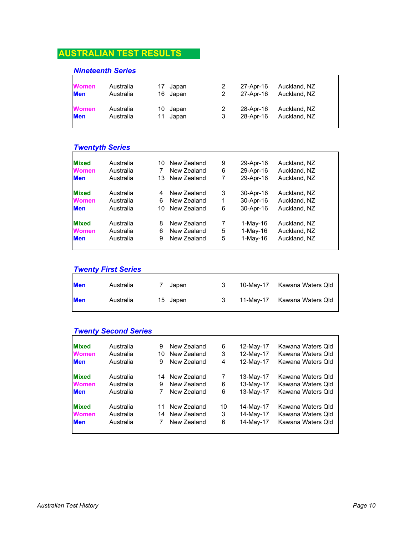#### *Nineteenth Series*

| <b>Women</b> | Australia | 17 Japan | 2 | 27-Apr-16 | Auckland, NZ |
|--------------|-----------|----------|---|-----------|--------------|
| <b>Men</b>   | Australia | 16 Japan | 2 | 27-Apr-16 | Auckland, NZ |
| <b>Women</b> | Australia | 10 Japan | 2 | 28-Apr-16 | Auckland, NZ |
| <b>Men</b>   | Australia | 11 Japan | 3 | 28-Apr-16 | Auckland, NZ |

#### *Twentyth Series*

| <b>Mixed</b> | Australia | 10 | New Zealand | 9 | 29-Apr-16  | Auckland, NZ |
|--------------|-----------|----|-------------|---|------------|--------------|
| <b>Women</b> | Australia |    | New Zealand | 6 | 29-Apr-16  | Auckland, NZ |
| <b>Men</b>   | Australia | 13 | New Zealand | 7 | 29-Apr-16  | Auckland, NZ |
| <b>Mixed</b> | Australia |    | New Zealand | 3 | 30-Apr-16  | Auckland, NZ |
| <b>Women</b> | Australia | 6  | New Zealand | 1 | 30-Apr-16  | Auckland, NZ |
| <b>Men</b>   | Australia | 10 | New Zealand | 6 | 30-Apr-16  | Auckland, NZ |
| <b>Mixed</b> | Australia | 8  | New Zealand | 7 | 1-May-16   | Auckland, NZ |
| <b>Women</b> | Australia | 6  | New Zealand | 5 | $1-Mav-16$ | Auckland, NZ |
| <b>Men</b>   | Australia | 9  | New Zealand | 5 | $1-Mav-16$ | Auckland, NZ |
|              |           |    |             |   |            |              |

# *Twenty First Series* **Men** Australia 7 Japan 3 Kawana Waters Qld 10-May-17 **Men** Australia 15 Japan 3 Kawana Waters Qld 11-May-17

#### *Twenty Second Series*

| <b>Mixed</b> | Australia | 9  | New Zealand | 6  | 12-May-17 | Kawana Waters Qld |
|--------------|-----------|----|-------------|----|-----------|-------------------|
| <b>Women</b> | Australia | 10 | New Zealand | 3  | 12-May-17 | Kawana Waters Qld |
| <b>Men</b>   | Australia | 9  | New Zealand | 4  | 12-May-17 | Kawana Waters Qld |
| <b>Mixed</b> | Australia | 14 | New Zealand | 7  | 13-May-17 | Kawana Waters Qld |
| <b>Women</b> | Australia | 9  | New Zealand | 6  | 13-May-17 | Kawana Waters Qld |
| <b>Men</b>   | Australia |    | New Zealand | 6  | 13-May-17 | Kawana Waters Qld |
| <b>Mixed</b> | Australia | 11 | New Zealand | 10 | 14-May-17 | Kawana Waters Qld |
| <b>Women</b> | Australia | 14 | New Zealand | 3  | 14-May-17 | Kawana Waters Qld |
| <b>Men</b>   | Australia |    | New Zealand | 6  | 14-May-17 | Kawana Waters Qld |
|              |           |    |             |    |           |                   |